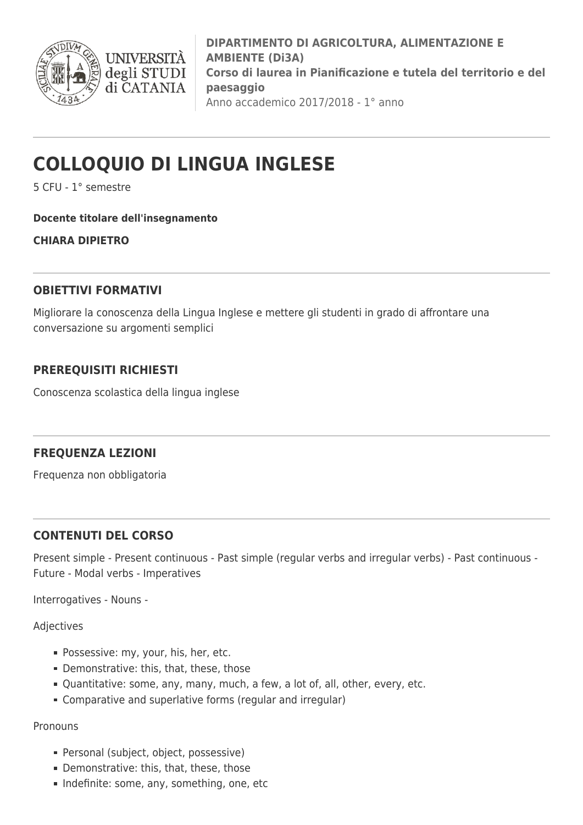

**DIPARTIMENTO DI AGRICOLTURA, ALIMENTAZIONE E AMBIENTE (Di3A) Corso di laurea in Pianificazione e tutela del territorio e del paesaggio** Anno accademico 2017/2018 - 1° anno

# **COLLOQUIO DI LINGUA INGLESE**

5 CFU - 1° semestre

#### **Docente titolare dell'insegnamento**

**CHIARA DIPIETRO**

## **OBIETTIVI FORMATIVI**

Migliorare la conoscenza della Lingua Inglese e mettere gli studenti in grado di affrontare una conversazione su argomenti semplici

# **PREREQUISITI RICHIESTI**

Conoscenza scolastica della lingua inglese

# **FREQUENZA LEZIONI**

Frequenza non obbligatoria

### **CONTENUTI DEL CORSO**

Present simple - Present continuous - Past simple (regular verbs and irregular verbs) - Past continuous - Future - Modal verbs - Imperatives

Interrogatives - Nouns -

Adjectives

- **Possessive: my, your, his, her, etc.**
- Demonstrative: this, that, these, those
- Quantitative: some, any, many, much, a few, a lot of, all, other, every, etc.
- Comparative and superlative forms (regular and irregular)

Pronouns

- Personal (subject, object, possessive)
- Demonstrative: this, that, these, those
- Indefinite: some, any, something, one, etc